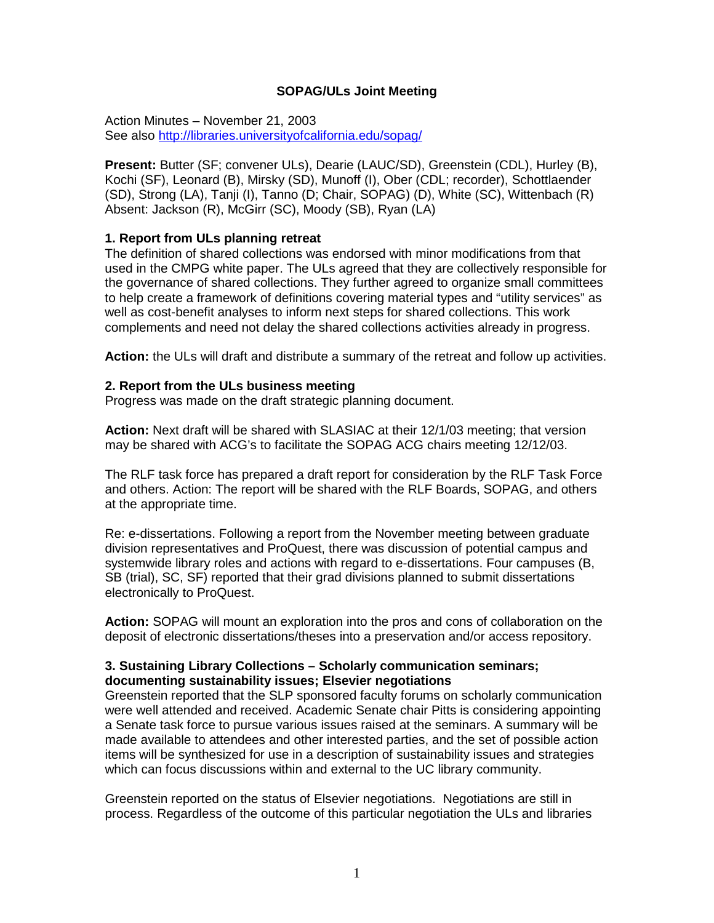# **SOPAG/ULs Joint Meeting**

Action Minutes – November 21, 2003 See also<http://libraries.universityofcalifornia.edu/sopag/>

**Present:** Butter (SF; convener ULs), Dearie (LAUC/SD), Greenstein (CDL), Hurley (B), Kochi (SF), Leonard (B), Mirsky (SD), Munoff (I), Ober (CDL; recorder), Schottlaender (SD), Strong (LA), Tanji (I), Tanno (D; Chair, SOPAG) (D), White (SC), Wittenbach (R) Absent: Jackson (R), McGirr (SC), Moody (SB), Ryan (LA)

#### **1. Report from ULs planning retreat**

The definition of shared collections was endorsed with minor modifications from that used in the CMPG white paper. The ULs agreed that they are collectively responsible for the governance of shared collections. They further agreed to organize small committees to help create a framework of definitions covering material types and "utility services" as well as cost-benefit analyses to inform next steps for shared collections. This work complements and need not delay the shared collections activities already in progress.

**Action:** the ULs will draft and distribute a summary of the retreat and follow up activities.

### **2. Report from the ULs business meeting**

Progress was made on the draft strategic planning document.

**Action:** Next draft will be shared with SLASIAC at their 12/1/03 meeting; that version may be shared with ACG's to facilitate the SOPAG ACG chairs meeting 12/12/03.

The RLF task force has prepared a draft report for consideration by the RLF Task Force and others. Action: The report will be shared with the RLF Boards, SOPAG, and others at the appropriate time.

Re: e-dissertations. Following a report from the November meeting between graduate division representatives and ProQuest, there was discussion of potential campus and systemwide library roles and actions with regard to e-dissertations. Four campuses (B, SB (trial), SC, SF) reported that their grad divisions planned to submit dissertations electronically to ProQuest.

**Action:** SOPAG will mount an exploration into the pros and cons of collaboration on the deposit of electronic dissertations/theses into a preservation and/or access repository.

# **3. Sustaining Library Collections – Scholarly communication seminars; documenting sustainability issues; Elsevier negotiations**

Greenstein reported that the SLP sponsored faculty forums on scholarly communication were well attended and received. Academic Senate chair Pitts is considering appointing a Senate task force to pursue various issues raised at the seminars. A summary will be made available to attendees and other interested parties, and the set of possible action items will be synthesized for use in a description of sustainability issues and strategies which can focus discussions within and external to the UC library community.

Greenstein reported on the status of Elsevier negotiations. Negotiations are still in process. Regardless of the outcome of this particular negotiation the ULs and libraries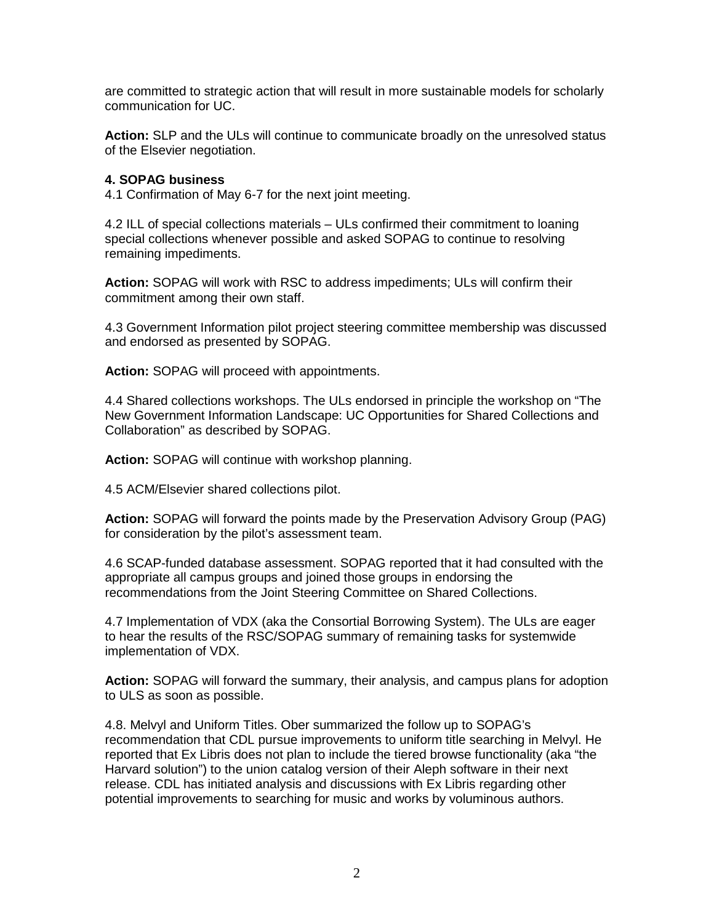are committed to strategic action that will result in more sustainable models for scholarly communication for UC.

**Action:** SLP and the ULs will continue to communicate broadly on the unresolved status of the Elsevier negotiation.

### **4. SOPAG business**

4.1 Confirmation of May 6-7 for the next joint meeting.

4.2 ILL of special collections materials – ULs confirmed their commitment to loaning special collections whenever possible and asked SOPAG to continue to resolving remaining impediments.

**Action:** SOPAG will work with RSC to address impediments; ULs will confirm their commitment among their own staff.

4.3 Government Information pilot project steering committee membership was discussed and endorsed as presented by SOPAG.

**Action:** SOPAG will proceed with appointments.

4.4 Shared collections workshops. The ULs endorsed in principle the workshop on "The New Government Information Landscape: UC Opportunities for Shared Collections and Collaboration" as described by SOPAG.

**Action:** SOPAG will continue with workshop planning.

4.5 ACM/Elsevier shared collections pilot.

**Action:** SOPAG will forward the points made by the Preservation Advisory Group (PAG) for consideration by the pilot's assessment team.

4.6 SCAP-funded database assessment. SOPAG reported that it had consulted with the appropriate all campus groups and joined those groups in endorsing the recommendations from the Joint Steering Committee on Shared Collections.

4.7 Implementation of VDX (aka the Consortial Borrowing System). The ULs are eager to hear the results of the RSC/SOPAG summary of remaining tasks for systemwide implementation of VDX.

**Action:** SOPAG will forward the summary, their analysis, and campus plans for adoption to ULS as soon as possible.

4.8. Melvyl and Uniform Titles. Ober summarized the follow up to SOPAG's recommendation that CDL pursue improvements to uniform title searching in Melvyl. He reported that Ex Libris does not plan to include the tiered browse functionality (aka "the Harvard solution") to the union catalog version of their Aleph software in their next release. CDL has initiated analysis and discussions with Ex Libris regarding other potential improvements to searching for music and works by voluminous authors.